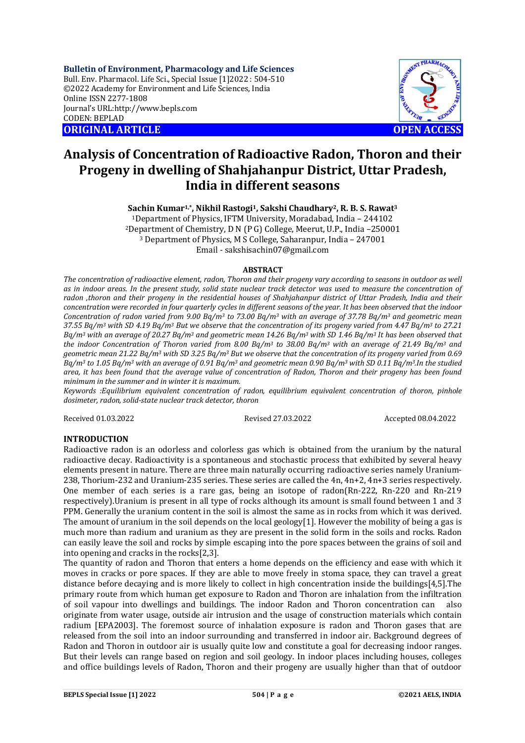**Bulletin of Environment, Pharmacology and Life Sciences** Bull. Env. Pharmacol. Life Sci., Special Issue [1]2022 : 504-510 ©2022 Academy for Environment and Life Sciences, India Online ISSN 2277-1808 Journal's URL:<http://www.bepls.com> CODEN: BEPLAD **ORIGINAL ARTICLE OPEN ACCESS** 



# **Analysis of Concentration of Radioactive Radon, Thoron and their Progeny in dwelling of Shahjahanpur District, Uttar Pradesh, India in different seasons**

**Sachin Kumar1,\*, Nikhil Rastogi1, Sakshi Chaudhary2, R. B. S. Rawat<sup>3</sup>**

Department of Physics, IFTM University, Moradabad, India – 244102 Department of Chemistry, D N (P G) College, Meerut, U.P., India –250001 Department of Physics, M S College, Saharanpur, India – 247001 Email - [sakshisachin07@gmail.com](mailto:sakshisachin07@gmail.com)

### **ABSTRACT**

*The concentration of radioactive element, radon, Thoron and their progeny vary according to seasons in outdoor as well as in indoor areas. In the present study, solid state nuclear track detector was used to measure the concentration of radon ,thoron and their progeny in the residential houses of Shahjahanpur district of Uttar Pradesh, India and their concentration were recorded in four quarterly cycles in different seasons of the year. It has been observed that the indoor Concentration of radon varied from 9.00 Bq/m<sup>3</sup> to 73.00 Bq/m<sup>3</sup> with an average of 37.78 Bq/m<sup>3</sup> and geometric mean 37.55 Bq/m<sup>3</sup> with SD 4.19 Bq/m<sup>3</sup> But we observe that the concentration of its progeny varied from 4.47 Bq/m<sup>3</sup> to 27.21 Bq/m<sup>3</sup> with an average of 20.27 Bq/m<sup>3</sup> and geometric mean 14.26 Bq/m<sup>3</sup> with SD 1.46 Bq/m<sup>3</sup> It has been observed that the indoor Concentration of Thoron varied from 8.00 Bq/m<sup>3</sup> to 38.00 Bq/m<sup>3</sup> with an average of 21.49 Bq/m<sup>3</sup> and geometric mean 21.22 Bq/m<sup>3</sup> with SD 3.25 Bq/m<sup>3</sup> But we observe that the concentration of its progeny varied from 0.69 Bq/m<sup>3</sup> to 1.05 Bq/m<sup>3</sup> with an average of 0.91 Bq/m<sup>3</sup> and geometric mean 0.90 Bq/m<sup>3</sup> with SD 0.11 Bq/m3.In the studied area, it has been found that the average value of concentration of Radon, Thoron and their progeny has been found minimum in the summer and in winter it is maximum.*

*Keywords :Equilibrium equivalent concentration of radon, equilibrium equivalent concentration of thoron, pinhole dosimeter, radon, solid-state nuclear track detector, thoron*

Received 01.03.2022 Revised 27.03.2022 Accepted 08.04.2022

## **INTRODUCTION**

Radioactive radon is an odorless and colorless gas which is obtained from the uranium by the natural radioactive decay. Radioactivity is a spontaneous and stochastic process that exhibited by several heavy elements present in nature. There are three main naturally occurring radioactive series namely Uranium-238, Thorium-232 and Uranium-235 series. These series are called the 4n, 4n+2, 4n+3 series respectively. One member of each series is a rare gas, being an isotope of radon(Rn-222, Rn-220 and Rn-219 respectively).Uranium is present in all type of rocks although its amount is small found between 1 and 3 PPM. Generally the uranium content in the soil is almost the same as in rocks from which it was derived. The amount of uranium in the soil depends on the local geology[1]. However the mobility of being a gas is much more than radium and uranium as they are present in the solid form in the soils and rocks. Radon can easily leave the soil and rocks by simple escaping into the pore spaces between the grains of soil and into opening and cracks in the rocks[2,3].

The quantity of radon and Thoron that enters a home depends on the efficiency and ease with which it moves in cracks or pore spaces. If they are able to move freely in stoma space, they can travel a great distance before decaying and is more likely to collect in high concentration inside the buildings[4,5].The primary route from which human get exposure to Radon and Thoron are inhalation from the infiltration of soil vapour into dwellings and buildings. The indoor Radon and Thoron concentration can also originate from water usage, outside air intrusion and the usage of construction materials which contain radium [EPA2003]. The foremost source of inhalation exposure is radon and Thoron gases that are released from the soil into an indoor surrounding and transferred in indoor air. Background degrees of Radon and Thoron in outdoor air is usually quite low and constitute a goal for decreasing indoor ranges. But their levels can range based on region and soil geology. In indoor places including houses, colleges and office buildings levels of Radon, Thoron and their progeny are usually higher than that of outdoor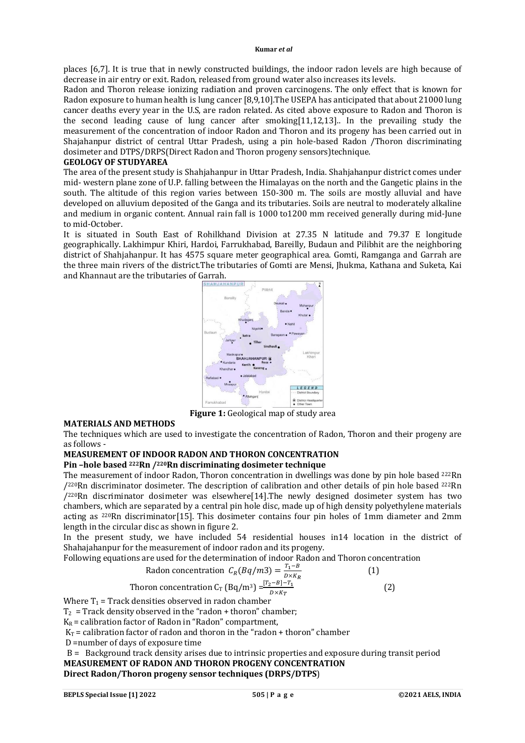places [6,7]. It is true that in newly constructed buildings, the indoor radon levels are high because of decrease in air entry or exit. Radon, released from ground water also increases its levels.

Radon and Thoron release ionizing radiation and proven carcinogens. The only effect that is known for Radon exposure to human health is lung cancer [8,9,10].The USEPA has anticipated that about 21000 lung cancer deaths every year in the U.S, are radon related. As cited above exposure to Radon and Thoron is the second leading cause of lung cancer after smoking[11,12,13].. In the prevailing study the measurement of the concentration of indoor Radon and Thoron and its progeny has been carried out in Shajahanpur district of central Uttar Pradesh, using a pin hole-based Radon /Thoron discriminating dosimeter and DTPS/DRPS(Direct Radon and Thoron progeny sensors)technique.

### **GEOLOGY OF STUDYAREA**

The area of the present study is Shahjahanpur in Uttar Pradesh, India. Shahjahanpur district comes under mid- western plane zone of U.P. falling between the Himalayas on the north and the Gangetic plains in the south. The altitude of this region varies between 150-300 m. The soils are mostly alluvial and have developed on alluvium deposited of the Ganga and its tributaries. Soils are neutral to moderately alkaline and medium in organic content. Annual rain fall is 1000 to1200 mm received generally during mid-June to mid-October.

It is situated in South East of Rohilkhand Division at 27.35 N latitude and 79.37 E longitude geographically. Lakhimpur Khiri, Hardoi, Farrukhabad, Bareilly, Budaun and Pilibhit are the neighboring district of Shahjahanpur. It has 4575 square meter geographical area. Gomti, Ramganga and Garrah are the three main rivers of the district.The tributaries of Gomti are Mensi, Jhukma, Kathana and Suketa, Kai and Khannaut are the tributaries of Garrah.



**Figure 1:** Geological map of study area

#### **MATERIALS AND METHODS**

The techniques which are used to investigate the concentration of Radon, Thoron and their progeny are as follows -

### **MEASUREMENT OF INDOOR RADON AND THORON CONCENTRATION**

### **Pin –hole based 222Rn /220Rn discriminating dosimeter technique**

The measurement of indoor Radon, Thoron concentration in dwellings was done by pin hole based <sup>222</sup>Rn  $/2^{20}$ Rn discriminator dosimeter. The description of calibration and other details of pin hole based  $^{222}$ Rn  $/2^{20}$ Rn discriminator dosimeter was elsewhere[14].The newly designed dosimeter system has two chambers, which are separated by a central pin hole disc, made up of high density polyethylene materials acting as 220Rn discriminator[15]. This dosimeter contains four pin holes of 1mm diameter and 2mm length in the circular disc as shown in figure 2.

In the present study, we have included 54 residential houses in14 location in the district of Shahajahanpur for the measurement of indoor radon and its progeny.

Following equations are used for the determination of indoor Radon and Thoron concentration

Radon concentration 
$$
C_R(Bq/m3) = \frac{T_1 - B}{D \times K_R}
$$

\nThoron concentration  $C_T(Bq/m^3) = \frac{[T_2 - B] - T_1}{D \times K_T}$ 

\n(2)

Where 
$$
T_1
$$
 = Track densities observed in radon chamber

 $T_2$  = Track density observed in the "radon + thoron" chamber;

 $K_R$  = calibration factor of Radon in "Radon" compartment,

 $K_T$  = calibration factor of radon and thoron in the "radon + thoron" chamber

D =number of days of exposure time

 B = Background track density arises due to intrinsic properties and exposure during transit period **MEASUREMENT OF RADON AND THORON PROGENY CONCENTRATION** 

### **Direct Radon/Thoron progeny sensor techniques (DRPS/DTPS**)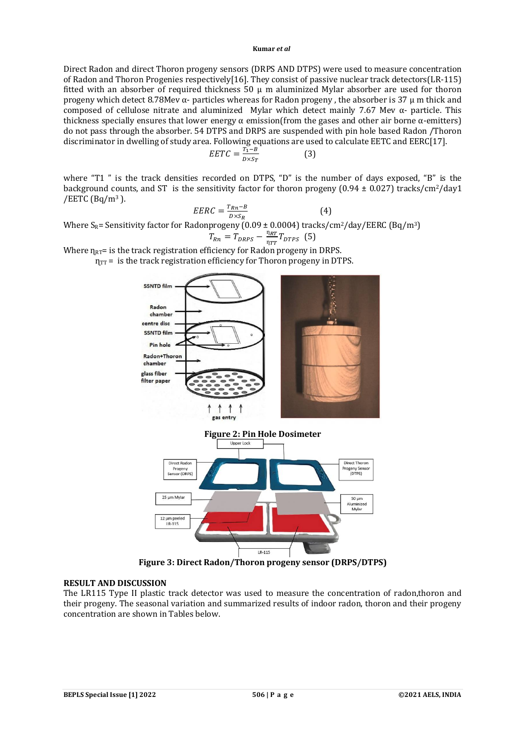Direct Radon and direct Thoron progeny sensors (DRPS AND DTPS) were used to measure concentration of Radon and Thoron Progenies respectively[16]. They consist of passive nuclear track detectors(LR-115) fitted with an absorber of required thickness  $50 \mu$  m aluminized Mylar absorber are used for thoron progeny which detect 8.78Mev α- particles whereas for Radon progeny, the absorber is 37  $\mu$  m thick and composed of cellulose nitrate and aluminized Mylar which detect mainly 7.67 Mev α- particle. This thickness specially ensures that lower energy  $\alpha$  emission(from the gases and other air borne  $\alpha$ -emitters) do not pass through the absorber. 54 DTPS and DRPS are suspended with pin hole based Radon /Thoron discriminator in dwelling of study area. Following equations are used to calculate EETC and EERC[17].

$$
EETC = \frac{T_1 - B}{D \times S_T}
$$
 (3)

where "T1 " is the track densities recorded on DTPS, "D" is the number of days exposed, "B" is the background counts, and ST is the sensitivity factor for thoron progeny  $(0.94 \pm 0.027)$  tracks/cm<sup>2</sup>/day1 /EETC (Bq/m<sup>3</sup>).

$$
EERC = \frac{T_{Rn} - B}{D \times S_R} \tag{4}
$$

Where S<sub>R</sub>= Sensitivity factor for Radonprogeny (0.09 ± 0.0004) tracks/cm<sup>2</sup>/day/EERC (Bq/m<sup>3</sup>)

$$
T_{Rn} = T_{DRPS} - \frac{\eta_{RT}}{\eta_{TT}} T_{DTPS} \quad (5)
$$

Where  $\eta_{RT}$ = is the track registration efficiency for Radon progeny in DRPS.

 $η<sub>TT</sub> =$  is the track registration efficiency for Thoron progeny in DTPS.



LR-115 **Figure 3: Direct Radon/Thoron progeny sensor (DRPS/DTPS)**

#### **RESULT AND DISCUSSION**

The LR115 Type II plastic track detector was used to measure the concentration of radon,thoron and their progeny. The seasonal variation and summarized results of indoor radon, thoron and their progeny concentration are shown in Tables below.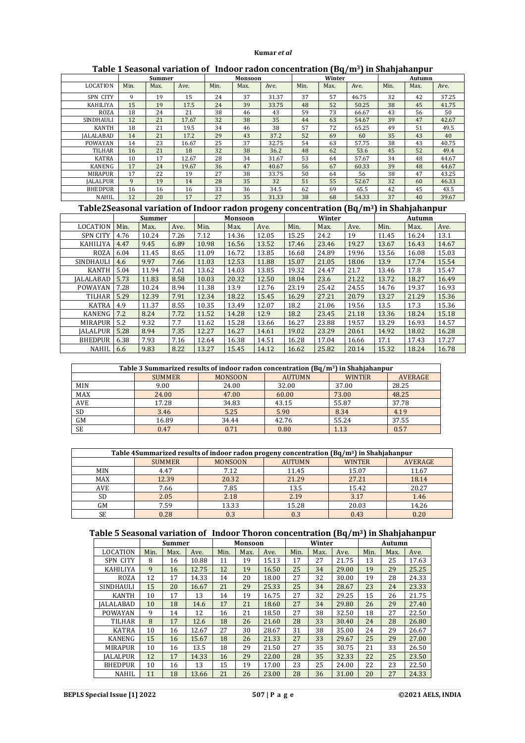|                  | Summer |      | Monsoon |      |      | --<br>Winter |      |      | Autumn |      |      |       |
|------------------|--------|------|---------|------|------|--------------|------|------|--------|------|------|-------|
| <b>LOCATION</b>  | Min.   | Max. | Ave.    | Min. | Max. | Ave.         | Min. | Max. | Ave.   | Min. | Max. | Ave.  |
| SPN CITY         | 9      | 19   | 15      | 24   | 37   | 31.37        | 37   | 57   | 46.75  | 32   | 42   | 37.25 |
| <b>KAHILIYA</b>  | 15     | 19   | 17.5    | 24   | 39   | 33.75        | 48   | 52   | 50.25  | 38   | 45   | 41.75 |
| <b>ROZA</b>      | 18     | 24   | 21      | 38   | 46   | 43           | 59   | 73   | 66.67  | 43   | 56   | 50    |
| <b>SINDHAULI</b> | 12     | 21   | 17.67   | 32   | 38   | 35           | 44   | 63   | 54.67  | 39   | 47   | 42.67 |
| <b>KANTH</b>     | 18     | 21   | 19.5    | 34   | 46   | 38           | 57   | 72   | 65.25  | 49   | 51   | 49.5  |
| <b>IALALABAD</b> | 14     | 21   | 17.2    | 29   | 43   | 37.2         | 52   | 69   | 60     | 35   | 43   | 40    |
| <b>POWAYAN</b>   | 14     | 23   | 16.67   | 25   | 37   | 32.75        | 54   | 63   | 57.75  | 38   | 43   | 40.75 |
| <b>TILHAR</b>    | 16     | 21   | 18      | 32   | 38   | 36.2         | 48   | 62   | 53.6   | 45   | 52   | 49.4  |
| <b>KATRA</b>     | 10     | 17   | 12.67   | 28   | 34   | 31.67        | 53   | 64   | 57.67  | 34   | 48   | 44.67 |
| <b>KANENG</b>    | 17     | 24   | 19.67   | 36   | 47   | 40.67        | 56   | 67   | 60.33  | 39   | 48   | 44.67 |
| <b>MIRAPUR</b>   | 17     | 22   | 19      | 27   | 38   | 33.75        | 50   | 64   | 56     | 38   | 47   | 43.25 |
| <b>IALALPUR</b>  | 9      | 19   | 14      | 28   | 35   | 32           | 51   | 55   | 52.67  | 32   | 60   | 46.33 |
| <b>BHEDPUR</b>   | 16     | 16   | 16      | 33   | 36   | 34.5         | 62   | 69   | 65.5   | 42   | 45   | 43.5  |
| <b>NAHIL</b>     | 12     | 20   | 17      | 27   | 35   | 31.33        | 38   | 68   | 54.33  | 37   | 40   | 39.67 |

# **Table 1 Seasonal variation of Indoor radon concentration (Bq/m3) in Shahjahanpur**

# **Table2Seasonal variation of Indoor radon progeny concentration (Bq/m3) in Shahjahanpur**

|                  | <b>Summer</b> |       |      | <b>Monsoon</b> |       |       | Winter |       |       | Autumn |       |       |
|------------------|---------------|-------|------|----------------|-------|-------|--------|-------|-------|--------|-------|-------|
| LOCATION         | Min.          | Max.  | Ave. | Min.           | Max.  | Ave.  | Min.   | Max.  | Ave.  | Min.   | Max.  | Ave.  |
| <b>SPN CITY</b>  | 4.76          | 10.24 | 7.26 | 7.12           | 14.36 | 12.05 | 15.25  | 24.2  | 19    | 11.45  | 16.24 | 13.1  |
| KAHILIYA         | 4.47          | 9.45  | 6.89 | 10.98          | 16.56 | 13.52 | 17.46  | 23.46 | 19.27 | 13.67  | 16.43 | 14.67 |
| <b>ROZA</b>      | 6.04          | 11.45 | 8.65 | 11.09          | 16.72 | 13.85 | 16.68  | 24.89 | 19.96 | 13.56  | 16.08 | 15.03 |
| <b>SINDHAULI</b> | 4.6           | 9.97  | 7.66 | 11.03          | 12.53 | 11.88 | 15.07  | 21.05 | 18.06 | 13.9   | 17.74 | 15.54 |
| <b>KANTH</b>     | 5.04          | 11.94 | 7.61 | 13.62          | 14.03 | 13.85 | 19.32  | 24.47 | 21.7  | 13.46  | 17.8  | 15.47 |
| IALALABAD        | 5.73          | 11.83 | 8.58 | 10.03          | 20.32 | 12.50 | 18.04  | 23.6  | 21.22 | 13.72  | 18.27 | 16.49 |
| POWAYAN          | 7.28          | 10.24 | 8.94 | 11.38          | 13.9  | 12.76 | 23.19  | 25.42 | 24.55 | 14.76  | 19.37 | 16.93 |
| <b>TILHAR</b>    | 5.29          | 12.39 | 7.91 | 12.34          | 18.22 | 15.45 | 16.29  | 27.21 | 20.79 | 13.27  | 21.29 | 15.36 |
| <b>KATRA</b>     | 4.9           | 11.37 | 8.55 | 10.35          | 13.49 | 12.07 | 18.2   | 21.06 | 19.56 | 13.5   | 17.3  | 15.36 |
| KANENG           | 7.2           | 8.24  | 7.72 | 11.52          | 14.28 | 12.9  | 18.2   | 23.45 | 21.18 | 13.36  | 18.24 | 15.18 |
| <b>MIRAPUR</b>   | 5.2           | 9.32  | 7.7  | 11.62          | 15.28 | 13.66 | 16.27  | 23.88 | 19.57 | 13.29  | 16.93 | 14.57 |
| <b>IALALPUR</b>  | 5.28          | 8.94  | 7.35 | 12.27          | 16.27 | 14.61 | 19.02  | 23.29 | 20.61 | 14.92  | 18.02 | 16.28 |
| <b>BHEDPUR</b>   | 6.38          | 7.93  | 7.16 | 12.64          | 16.38 | 14.51 | 16.28  | 17.04 | 16.66 | 17.1   | 17.43 | 17.27 |
| <b>NAHIL</b>     | 6.6           | 9.83  | 8.22 | 13.27          | 15.45 | 14.12 | 16.62  | 25.82 | 20.14 | 15.32  | 18.24 | 16.78 |

| Table 3 Summarized results of indoor radon concentration $(Bq/m^3)$ in Shahiahanpur |               |                |               |               |                |  |  |  |  |  |
|-------------------------------------------------------------------------------------|---------------|----------------|---------------|---------------|----------------|--|--|--|--|--|
|                                                                                     | <b>SUMMER</b> | <b>MONSOON</b> | <b>AUTUMN</b> | <b>WINTER</b> | <b>AVERAGE</b> |  |  |  |  |  |
| MIN                                                                                 | 9.00          | 24.00          | 32.00         | 37.00         | 28.25          |  |  |  |  |  |
| <b>MAX</b>                                                                          | 24.00         | 47.00          | 60.00         | 73.00         | 48.25          |  |  |  |  |  |
| <b>AVE</b>                                                                          | 17.28         | 34.83          | 43.15         | 55.87         | 37.78          |  |  |  |  |  |
| <b>SD</b>                                                                           | 3.46          | 5.25           | 5.90          | 8.34          | 4.19           |  |  |  |  |  |
| <b>GM</b>                                                                           | 16.89         | 34.44          | 42.76         | 55.24         | 37.55          |  |  |  |  |  |
| <b>SE</b>                                                                           | 0.47          | 0.71           | 0.80          | 1.13          | 0.57           |  |  |  |  |  |

| Table 4Summarized results of indoor radon progeny concentration $(Bq/m3)$ in Shahjahanpur |               |                |               |               |                |  |  |  |  |
|-------------------------------------------------------------------------------------------|---------------|----------------|---------------|---------------|----------------|--|--|--|--|
|                                                                                           | <b>SUMMER</b> | <b>MONSOON</b> | <b>AUTUMN</b> | <b>WINTER</b> | <b>AVERAGE</b> |  |  |  |  |
| MIN                                                                                       | 4.47          | 7.12           | 11.45         | 15.07         | 11.67          |  |  |  |  |
| <b>MAX</b>                                                                                | 12.39         | 20.32          | 21.29         | 27.21         | 18.14          |  |  |  |  |
| <b>AVE</b>                                                                                | 7.66          | 7.85           | 13.5          | 15.42         | 20.27          |  |  |  |  |
| SD                                                                                        | 2.05          | 2.18           | 2.19          | 3.17          | 1.46           |  |  |  |  |
| GМ                                                                                        | 7.59          | 13.33          | 15.28         | 20.03         | 14.26          |  |  |  |  |
| SE                                                                                        | 0.28          |                | 0.3           | 0.43          | 0.20           |  |  |  |  |

# **Table 5 Seasonal variation of Indoor Thoron concentration (Bq/m3) in Shahjahanpur**

|                  | <b>Summer</b> |      | Monsoon |      |      | Winter |      |      | Autumn |      |      |       |
|------------------|---------------|------|---------|------|------|--------|------|------|--------|------|------|-------|
| <b>LOCATION</b>  | Min.          | Max. | Ave.    | Min. | Max. | Ave.   | Min. | Max. | Ave.   | Min. | Max. | Ave.  |
| <b>SPN CITY</b>  | 8             | 16   | 10.88   | 11   | 19   | 15.13  | 17   | 27   | 21.75  | 13   | 25   | 17.63 |
| KAHILIYA         | 9             | 16   | 12.75   | 12   | 19   | 16.50  | 25   | 34   | 29.00  | 19   | 29   | 25.25 |
| <b>ROZA</b>      | 12            | 17   | 14.33   | 14   | 20   | 18.00  | 27   | 32   | 30.00  | 19   | 28   | 24.33 |
| <b>SINDHAULI</b> | 15            | 20   | 16.67   | 21   | 29   | 25.33  | 25   | 34   | 28.67  | 23   | 24   | 23.33 |
| KANTH            | 10            | 17   | 13      | 14   | 19   | 16.75  | 27   | 32   | 29.25  | 15   | 26   | 21.75 |
| <b>IALALABAD</b> | 10            | 18   | 14.6    | 17   | 21   | 18.60  | 27   | 34   | 29.80  | 26   | 29   | 27.40 |
| <b>POWAYAN</b>   | 9             | 14   | 12      | 16   | 21   | 18.50  | 27   | 38   | 32.50  | 18   | 27   | 22.50 |
| <b>TILHAR</b>    | 8             | 17   | 12.6    | 18   | 26   | 21.60  | 28   | 33   | 30.40  | 24   | 28   | 26.80 |
| <b>KATRA</b>     | 10            | 16   | 12.67   | 27   | 30   | 28.67  | 31   | 38   | 35.00  | 24   | 29   | 26.67 |
| <b>KANENG</b>    | 15            | 16   | 15.67   | 18   | 26   | 21.33  | 27   | 33   | 29.67  | 25   | 29   | 27.00 |
| <b>MIRAPUR</b>   | 10            | 16   | 13.5    | 18   | 29   | 21.50  | 27   | 35   | 30.75  | 21   | 33   | 26.50 |
| <b>IALALPUR</b>  | 12            | 17   | 14.33   | 16   | 29   | 22.00  | 28   | 35   | 32.33  | 22   | 25   | 23.50 |
| <b>BHEDPUR</b>   | 10            | 16   | 13      | 15   | 19   | 17.00  | 23   | 25   | 24.00  | 22   | 23   | 22.50 |
| <b>NAHIL</b>     | 11            | 18   | 13.66   | 21   | 26   | 23.00  | 28   | 36   | 31.00  | 20   | 27   | 24.33 |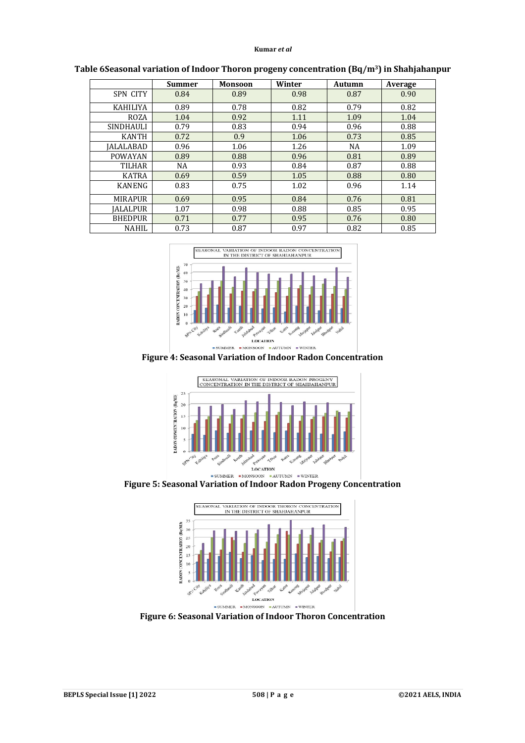|                  | <b>Summer</b> | <b>Monsoon</b> | Winter | Autumn    | Average |
|------------------|---------------|----------------|--------|-----------|---------|
| <b>SPN CITY</b>  | 0.84          | 0.89           | 0.98   | 0.87      | 0.90    |
| <b>KAHILIYA</b>  | 0.89          | 0.78           | 0.82   | 0.79      | 0.82    |
| <b>ROZA</b>      | 1.04          | 0.92           | 1.11   | 1.09      | 1.04    |
| <b>SINDHAULI</b> | 0.79          | 0.83           | 0.94   | 0.96      | 0.88    |
| <b>KANTH</b>     | 0.72          | 0.9            | 1.06   | 0.73      | 0.85    |
| IALALABAD        | 0.96          | 1.06           | 1.26   | <b>NA</b> | 1.09    |
| <b>POWAYAN</b>   | 0.89          | 0.88           | 0.96   | 0.81      | 0.89    |
| <b>TILHAR</b>    | <b>NA</b>     | 0.93           | 0.84   | 0.87      | 0.88    |
| <b>KATRA</b>     | 0.69          | 0.59           | 1.05   | 0.88      | 0.80    |
| <b>KANENG</b>    | 0.83          | 0.75           | 1.02   | 0.96      | 1.14    |
| <b>MIRAPUR</b>   | 0.69          | 0.95           | 0.84   | 0.76      | 0.81    |
| <b>IALALPUR</b>  | 1.07          | 0.98           | 0.88   | 0.85      | 0.95    |
| <b>BHEDPUR</b>   | 0.71          | 0.77           | 0.95   | 0.76      | 0.80    |
| <b>NAHIL</b>     | 0.73          | 0.87           | 0.97   | 0.82      | 0.85    |

**Table 6Seasonal variation of Indoor Thoron progeny concentration (Bq/m3) in Shahjahanpur**



**Figure 4: Seasonal Variation of Indoor Radon Concentration**



**Figure 5: Seasonal Variation of Indoor Radon Progeny Concentration**



**Figure 6: Seasonal Variation of Indoor Thoron Concentration**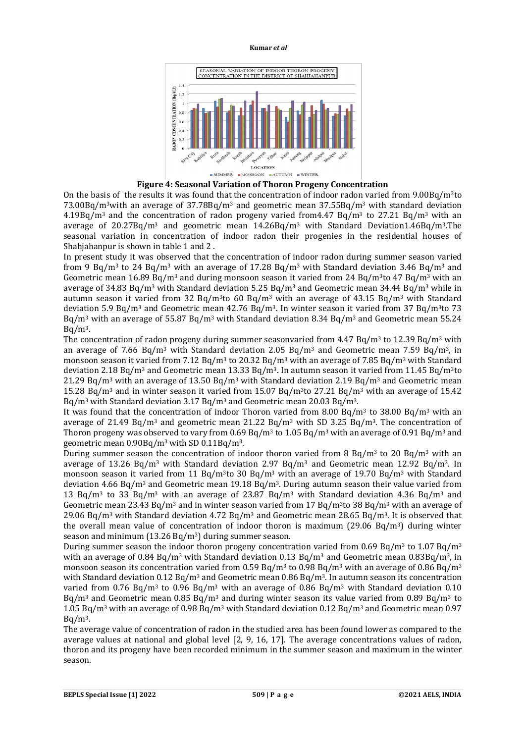

**Figure 4: Seasonal Variation of Thoron Progeny Concentration**

On the basis of the results it was found that the concentration of indoor radon varied from  $9.00Bq/m<sup>3</sup>$ to 73.00Bq/m3with an average of 37.78Bq/m<sup>3</sup> and geometric mean 37.55Bq/m<sup>3</sup> with standard deviation  $4.19Bq/m<sup>3</sup>$  and the concentration of radon progeny varied from 4.47 Bq/m<sup>3</sup> to 27.21 Bq/m<sup>3</sup> with an average of  $20.27Bq/m^3$  and geometric mean  $14.26Bq/m^3$  with Standard Deviation1.46Bq/m<sup>3</sup>.The seasonal variation in concentration of indoor radon their progenies in the residential houses of Shahjahanpur is shown in table 1 and 2 .

In present study it was observed that the concentration of indoor radon during summer season varied from 9 Bq/m<sup>3</sup> to 24 Bq/m<sup>3</sup> with an average of 17.28 Bq/m<sup>3</sup> with Standard deviation 3.46 Bq/m<sup>3</sup> and Geometric mean  $16.89$  Bq/m<sup>3</sup> and during monsoon season it varied from  $24$  Bq/m<sup>3</sup>to  $47$  Bq/m<sup>3</sup> with an average of 34.83 Bq/m<sup>3</sup> with Standard deviation 5.25 Bq/m<sup>3</sup> and Geometric mean 34.44 Bq/m<sup>3</sup> while in autumn season it varied from 32 Bq/m<sup>3</sup>to 60 Bq/m<sup>3</sup> with an average of 43.15 Bq/m<sup>3</sup> with Standard deviation 5.9 Bq/m<sup>3</sup> and Geometric mean 42.76 Bq/m3. In winter season it varied from 37 Bq/m3to 73 Bq/m<sup>3</sup> with an average of 55.87 Bq/m<sup>3</sup> with Standard deviation 8.34 Bq/m<sup>3</sup> and Geometric mean 55.24  $Ba/m<sup>3</sup>$ .

The concentration of radon progeny during summer seasonvaried from  $4.47 \text{ Bq/m}^3$  to  $12.39 \text{ Bq/m}^3$  with an average of 7.66 Bq/m<sup>3</sup> with Standard deviation 2.05 Bq/m<sup>3</sup> and Geometric mean 7.59 Bq/m<sup>3</sup>, in monsoon season it varied from 7.12 Bq/m<sup>3</sup> to 20.32 Bq/m<sup>3</sup> with an average of 7.85 Bq/m<sup>3</sup> with Standard deviation 2.18 Bq/m<sup>3</sup> and Geometric mean 13.33 Bq/m<sup>3</sup>. In autumn season it varied from 11.45 Bq/m<sup>3</sup>to 21.29 Bq/m<sup>3</sup> with an average of 13.50 Bq/m<sup>3</sup> with Standard deviation 2.19 Bq/m<sup>3</sup> and Geometric mean 15.28 Bq/m<sup>3</sup> and in winter season it varied from 15.07 Bq/m<sup>3</sup>to 27.21 Bq/m<sup>3</sup> with an average of 15.42 Bq/m<sup>3</sup> with Standard deviation 3.17 Bq/m<sup>3</sup> and Geometric mean 20.03 Bq/m3.

It was found that the concentration of indoor Thoron varied from 8.00 Bq/m<sup>3</sup> to 38.00 Bq/m<sup>3</sup> with an average of 21.49 Bq/m<sup>3</sup> and geometric mean 21.22 Bq/m<sup>3</sup> with SD 3.25 Bq/m<sup>3</sup>. The concentration of Thoron progeny was observed to vary from  $0.69$  Bq/m<sup>3</sup> to  $1.05$  Bq/m<sup>3</sup> with an average of  $0.91$  Bq/m<sup>3</sup> and geometric mean 0.90Bq/m<sup>3</sup> with SD 0.11Bq/m3.

During summer season the concentration of indoor thoron varied from 8 Bq/m<sup>3</sup> to 20 Bq/m<sup>3</sup> with an average of 13.26 Bq/m<sup>3</sup> with Standard deviation 2.97 Bq/m<sup>3</sup> and Geometric mean 12.92 Bq/m<sup>3</sup>. In monsoon season it varied from 11 Bq/m<sup>3</sup>to 30 Bq/m<sup>3</sup> with an average of 19.70 Bq/m<sup>3</sup> with Standard deviation 4.66 Bq/m<sup>3</sup> and Geometric mean 19.18 Bq/m3. During autumn season their value varied from 13 Bq/m<sup>3</sup> to 33 Bq/m<sup>3</sup> with an average of 23.87 Bq/m<sup>3</sup> with Standard deviation 4.36 Bq/m<sup>3</sup> and Geometric mean 23.43 Bq/m<sup>3</sup> and in winter season varied from 17 Bq/m<sup>3</sup>to 38 Bq/m<sup>3</sup> with an average of 29.06 Bq/m<sup>3</sup> with Standard deviation 4.72 Bq/m<sup>3</sup> and Geometric mean 28.65 Bq/m<sup>3</sup>. It is observed that the overall mean value of concentration of indoor thoron is maximum (29.06 Bq/m<sup>3</sup>) during winter season and minimum (13.26 Bq/m3) during summer season.

During summer season the indoor thoron progeny concentration varied from 0.69 Bq/m<sup>3</sup> to 1.07 Bq/m<sup>3</sup> with an average of 0.84 Bq/m<sup>3</sup> with Standard deviation 0.13 Bq/m<sup>3</sup> and Geometric mean 0.83Bq/m<sup>3</sup>, in monsoon season its concentration varied from 0.59 Bq/m<sup>3</sup> to 0.98 Bq/m<sup>3</sup> with an average of 0.86 Bq/m<sup>3</sup> with Standard deviation 0.12 Bq/m<sup>3</sup> and Geometric mean 0.86 Bq/m<sup>3</sup>. In autumn season its concentration varied from 0.76 Bq/m<sup>3</sup> to 0.96 Bq/m<sup>3</sup> with an average of 0.86 Bq/m<sup>3</sup> with Standard deviation 0.10  $Bq/m<sup>3</sup>$  and Geometric mean 0.85 Bq/m<sup>3</sup> and during winter season its value varied from 0.89 Bq/m<sup>3</sup> to 1.05 Bq/m<sup>3</sup> with an average of 0.98 Bq/m<sup>3</sup> with Standard deviation 0.12 Bq/m<sup>3</sup> and Geometric mean 0.97  $Ba/m<sup>3</sup>$ .

The average value of concentration of radon in the studied area has been found lower as compared to the average values at national and global level [2, 9, 16, 17]. The average concentrations values of radon, thoron and its progeny have been recorded minimum in the summer season and maximum in the winter season.